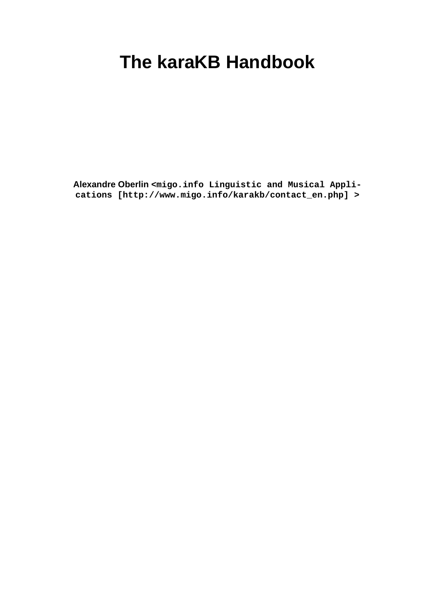## **The karaKB Handbook**

**Alexandre Oberlin [<migo.info Linguistic and Musical Appli](http://www.migo.info/karakb/contact_en.php)[cations \[http://www.migo.info/karakb/contact\\_en.php](http://www.migo.info/karakb/contact_en.php)] >**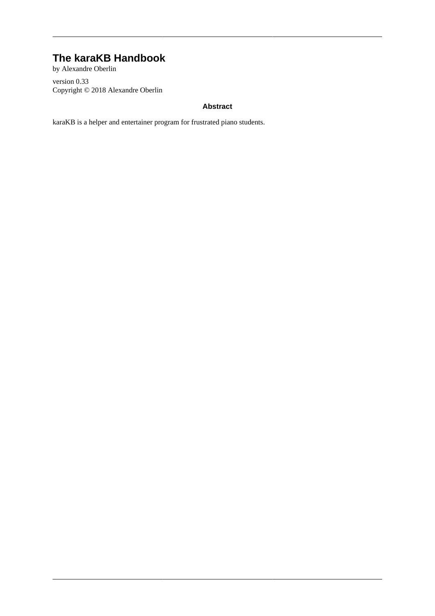#### **The karaKB Handbook**

by Alexandre Oberlin version 0.33 Copyright © 2018 Alexandre Oberlin

#### **Abstract**

karaKB is a helper and entertainer program for frustrated piano students.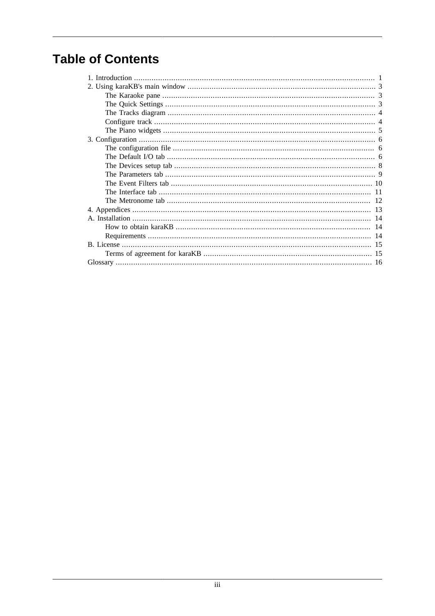#### **Table of Contents**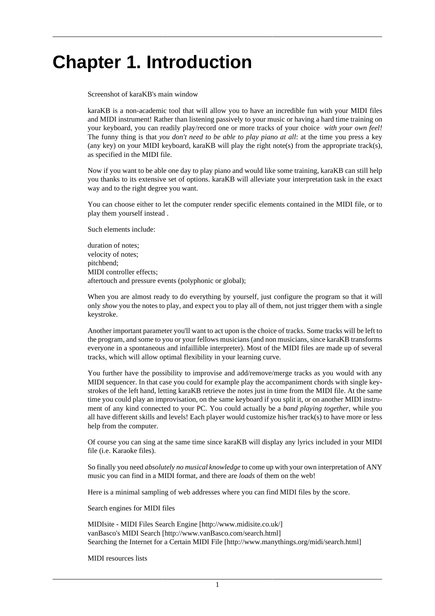## <span id="page-3-0"></span>**Chapter 1. Introduction**

Screenshot of karaKB's main window

karaKB is a non-academic tool that will allow you to have an incredible fun with your MIDI files and MIDI instrument! Rather than listening passively to your music or having a hard time training on your keyboard, you can readily play/record one or more tracks of your choice *with your own feel!* The funny thing is that *you don't need to be able to play piano at all*: at the time you press a key (any key) on your MIDI keyboard, karaKB will play the right note(s) from the appropriate track(s), as specified in the MIDI file.

Now if you want to be able one day to play piano and would like some training, karaKB can still help you thanks to its extensive set of options. karaKB will alleviate your interpretation task in the exact way and to the right degree you want.

You can choose either to let the computer render specific elements contained in the MIDI file, or to play them yourself instead .

Such elements include:

duration of notes; velocity of notes; pitchbend; MIDI controller effects; aftertouch and pressure events (polyphonic or global);

When you are almost ready to do everything by yourself, just configure the program so that it will only *show* you the notes to play, and expect you to play all of them, not just trigger them with a single keystroke.

Another important parameter you'll want to act upon is the choice of tracks. Some tracks will be left to the program, and some to you or your fellows musicians (and non musicians, since karaKB transforms everyone in a spontaneous and infaillible interpreter). Most of the MIDI files are made up of several tracks, which will allow optimal flexibility in your learning curve.

You further have the possibility to improvise and add/remove/merge tracks as you would with any MIDI sequencer. In that case you could for example play the accompaniment chords with single keystrokes of the left hand, letting karaKB retrieve the notes just in time from the MIDI file. At the same time you could play an improvisation, on the same keyboard if you split it, or on another MIDI instrument of any kind connected to your PC. You could actually be a *band playing together*, while you all have different skills and levels! Each player would customize his/her track(s) to have more or less help from the computer.

Of course you can sing at the same time since karaKB will display any lyrics included in your MIDI file (i.e. Karaoke files).

So finally you need *absolutely no musical knowledge* to come up with your own interpretation of ANY music you can find in a MIDI format, and there are *loads* of them on the web!

Here is a minimal sampling of web addresses where you can find MIDI files by the score.

Search engines for MIDI files

[MIDIsite - MIDI Files Search Engine](http://www.midisite.co.uk/) [\[http://www.midisite.co.uk/\]](http://www.midisite.co.uk/) [vanBasco's MIDI Search \[http://www.vanBasco.com/search.html](http://www.vanBasco.com/search.html)] [Searching the Internet for a Certain MIDI File](http://www.manythings.org/midi/search.html) [<http://www.manythings.org/midi/search.html>]

MIDI resources lists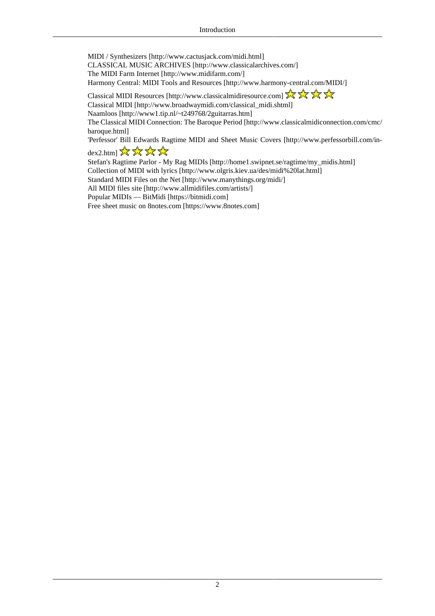[MIDI / Synthesizers](http://www.cactusjack.com/midi.html) [<http://www.cactusjack.com/midi.html>] [CLASSICAL MUSIC ARCHIVES](http://www.classicalarchives.com/) [[http://www.classicalarchives.com/\]](http://www.classicalarchives.com/) [The MIDI Farm Internet](http://www.midifarm.com/) [[http://www.midifarm.com/\]](http://www.midifarm.com/) [Harmony Central: MIDI Tools and Resources \[http://www.harmony-central.com/MIDI/\]](http://www.harmony-central.com/MIDI/) [Classical MIDI Resources](http://www.classicalmidiresource.com) [[http://www.classicalmidiresource.com\]](http://www.classicalmidiresource.com) [Classical MIDI](http://www.broadwaymidi.com/classical_midi.shtml) [\[http://www.broadwaymidi.com/classical\\_midi.shtml](http://www.broadwaymidi.com/classical_midi.shtml)] [Naamloos \[http://www1.tip.nl/~t249768/2guitarras.htm](http://www1.tip.nl/~t249768/2guitarras.htm)]

[The Classical MIDI Connection: The Baroque Period \[http://www.classicalmidiconnection.com/cmc/](http://www.classicalmidiconnection.com/cmc/baroque.html) [baroque.html](http://www.classicalmidiconnection.com/cmc/baroque.html)]

['Perfessor' Bill Edwards Ragtime MIDI and Sheet Music Covers](http://www.perfessorbill.com/index2.htm) [[http://www.perfessorbill.com/in](http://www.perfessorbill.com/index2.htm)[dex2.htm\]](http://www.perfessorbill.com/index2.htm)  $\frac{1}{2\sqrt{3}}$   $\frac{1}{2\sqrt{3}}$   $\frac{1}{2\sqrt{3}}$ 

[Stefan's Ragtime Parlor - My Rag MIDIs \[http://home1.swipnet.se/ragtime/my\\_midis.html\]](http://home1.swipnet.se/ragtime/my_midis.html) [Collection of MIDI with lyrics](http://www.olgris.kiev.ua/des/midi%20lat.html) [[http://www.olgris.kiev.ua/des/midi%20lat.html\]](http://www.olgris.kiev.ua/des/midi%20lat.html) [Standard MIDI Files on the Net](http://www.manythings.org/midi/) [<http://www.manythings.org/midi/>] [All MIDI files site](http://www.allmidifiles.com/artists/) [[http://www.allmidifiles.com/artists/\]](http://www.allmidifiles.com/artists/) [Popular MIDIs — BitMidi](https://bitmidi.com) [<https://bitmidi.com>] [Free sheet music on 8notes.com](https://www.8notes.com) [[https://www.8notes.com\]](https://www.8notes.com)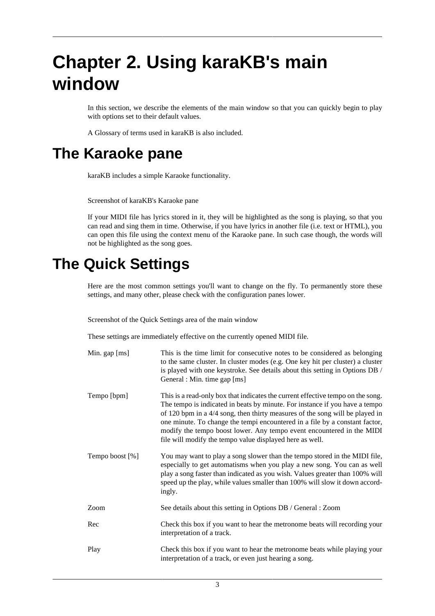## <span id="page-5-0"></span>**Chapter 2. Using karaKB's main window**

In this section, we describe the elements of the main window so that you can quickly begin to play with options set to their default values.

A [Glossary](#page-18-0) of terms used in karaKB is also included.

#### <span id="page-5-1"></span>**The Karaoke pane**

karaKB includes a simple Karaoke functionality.

Screenshot of karaKB's Karaoke pane

If your MIDI file has lyrics stored in it, they will be highlighted as the song is playing, so that you can read and sing them in time. Otherwise, if you have lyrics in another file (i.e. text or HTML), you can open this file using the context menu of the Karaoke pane. In such case though, the words will not be highlighted as the song goes.

#### <span id="page-5-2"></span>**The Quick Settings**

Here are the most common settings you'll want to change on the fly. To permanently store these settings, and many other, please check with the configuration panes lower.

Screenshot of the Quick Settings area of the main window

These settings are immediately effective on the currently opened MIDI file.

| Min. gap [ms]   | This is the time limit for consecutive notes to be considered as belonging<br>to the same cluster. In cluster modes (e.g. One key hit per cluster) a cluster<br>is played with one keystroke. See details about this setting in Options DB /<br>General : Min. time gap [ms]                                                                                                                                                                                       |
|-----------------|--------------------------------------------------------------------------------------------------------------------------------------------------------------------------------------------------------------------------------------------------------------------------------------------------------------------------------------------------------------------------------------------------------------------------------------------------------------------|
| Tempo [bpm]     | This is a read-only box that indicates the current effective tempo on the song.<br>The tempo is indicated in beats by minute. For instance if you have a tempo<br>of 120 bpm in a 4/4 song, then thirty measures of the song will be played in<br>one minute. To change the tempi encountered in a file by a constant factor,<br>modify the tempo boost lower. Any tempo event encountered in the MIDI<br>file will modify the tempo value displayed here as well. |
| Tempo boost [%] | You may want to play a song slower than the tempo stored in the MIDI file,<br>especially to get automatisms when you play a new song. You can as well<br>play a song faster than indicated as you wish. Values greater than 100% will<br>speed up the play, while values smaller than 100% will slow it down accord-<br>ingly.                                                                                                                                     |
| Zoom            | See details about this setting in Options DB / General : Zoom                                                                                                                                                                                                                                                                                                                                                                                                      |
| Rec             | Check this box if you want to hear the metronome beats will recording your<br>interpretation of a track.                                                                                                                                                                                                                                                                                                                                                           |
| Play            | Check this box if you want to hear the metronome beats while playing your<br>interpretation of a track, or even just hearing a song.                                                                                                                                                                                                                                                                                                                               |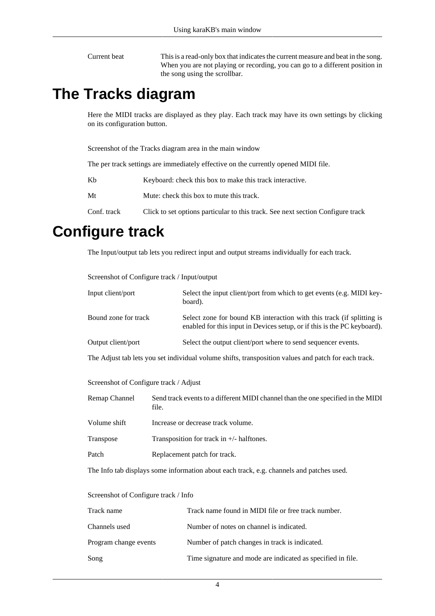Current beat This is a read-only box that indicates the current measure and beat in the song. When you are not playing or recording, you can go to a different position in the song using the scrollbar.

#### <span id="page-6-0"></span>**The Tracks diagram**

Here the MIDI tracks are displayed as they play. Each track may have its own settings by clicking on its configuration button.

Screenshot of the Tracks diagram area in the main window

The per track settings are immediately effective on the currently opened MIDI file.

| Kb | Keyboard: check this box to make this track interactive. |
|----|----------------------------------------------------------|
| Mt | Mute: check this box to mute this track.                 |

Conf. track Click to set options particular to this track. See next section [Configure track](#page-6-1)

#### <span id="page-6-1"></span>**Configure track**

The Input/output tab lets you redirect input and output streams individually for each track.

| Input client/port                                                                                    | Select the input client/port from which to get events (e.g. MIDI key-<br>board).                                                                  |  |
|------------------------------------------------------------------------------------------------------|---------------------------------------------------------------------------------------------------------------------------------------------------|--|
| Bound zone for track                                                                                 | Select zone for bound KB interaction with this track (if splitting is<br>enabled for this input in Devices setup, or if this is the PC keyboard). |  |
| Output client/port                                                                                   | Select the output client/port where to send sequencer events.                                                                                     |  |
| The Adjust tab lets you set individual volume shifts, transposition values and patch for each track. |                                                                                                                                                   |  |
| Screenshot of Configure track / Adjust                                                               |                                                                                                                                                   |  |
| Remap Channel                                                                                        | Send track events to a different MIDI channel than the one specified in the MIDI<br>file.                                                         |  |
| Volume shift                                                                                         | Increase or decrease track volume.                                                                                                                |  |
| Transpose                                                                                            | Transposition for track in $+/-$ halftones.                                                                                                       |  |
| Patch                                                                                                | Replacement patch for track.                                                                                                                      |  |
| The Info tab displays some information about each track, e.g. channels and patches used.             |                                                                                                                                                   |  |

Screenshot of Configure track / Input/output

Screenshot of Configure track / Info

| Track name            | Track name found in MIDI file or free track number.         |
|-----------------------|-------------------------------------------------------------|
| Channels used         | Number of notes on channel is indicated.                    |
| Program change events | Number of patch changes in track is indicated.              |
| Song                  | Time signature and mode are indicated as specified in file. |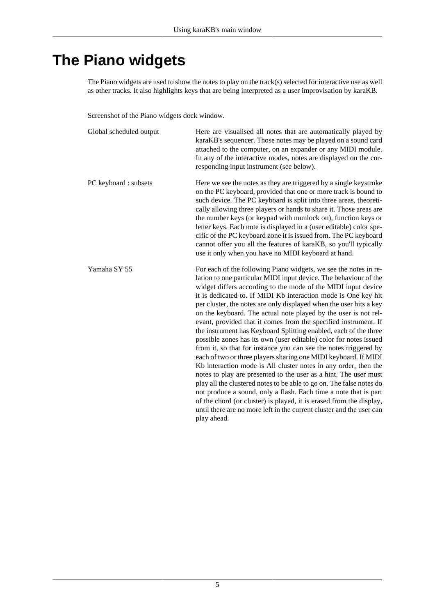### <span id="page-7-0"></span>**The Piano widgets**

The Piano widgets are used to show the notes to play on the track(s) selected for interactive use as well as other tracks. It also highlights keys that are being interpreted as a user improvisation by karaKB.

Screenshot of the Piano widgets dock window.

| Global scheduled output | Here are visualised all notes that are automatically played by<br>karaKB's sequencer. Those notes may be played on a sound card<br>attached to the computer, on an expander or any MIDI module.<br>In any of the interactive modes, notes are displayed on the cor-<br>responding input instrument (see below).                                                                                                                                                                                                                                                                                                                                                                                                                                                                                                                                                                                                                                                                                                                                                                                                                                                                                                      |
|-------------------------|----------------------------------------------------------------------------------------------------------------------------------------------------------------------------------------------------------------------------------------------------------------------------------------------------------------------------------------------------------------------------------------------------------------------------------------------------------------------------------------------------------------------------------------------------------------------------------------------------------------------------------------------------------------------------------------------------------------------------------------------------------------------------------------------------------------------------------------------------------------------------------------------------------------------------------------------------------------------------------------------------------------------------------------------------------------------------------------------------------------------------------------------------------------------------------------------------------------------|
| PC keyboard : subsets   | Here we see the notes as they are triggered by a single keystroke<br>on the PC keyboard, provided that one or more track is bound to<br>such device. The PC keyboard is split into three areas, theoreti-<br>cally allowing three players or hands to share it. Those areas are<br>the number keys (or keypad with numlock on), function keys or<br>letter keys. Each note is displayed in a (user editable) color spe-<br>cific of the PC keyboard zone it is issued from. The PC keyboard<br>cannot offer you all the features of karaKB, so you'll typically<br>use it only when you have no MIDI keyboard at hand.                                                                                                                                                                                                                                                                                                                                                                                                                                                                                                                                                                                               |
| Yamaha SY 55            | For each of the following Piano widgets, we see the notes in re-<br>lation to one particular MIDI input device. The behaviour of the<br>widget differs according to the mode of the MIDI input device<br>it is dedicated to. If MIDI Kb interaction mode is One key hit<br>per cluster, the notes are only displayed when the user hits a key<br>on the keyboard. The actual note played by the user is not rel-<br>evant, provided that it comes from the specified instrument. If<br>the instrument has Keyboard Splitting enabled, each of the three<br>possible zones has its own (user editable) color for notes issued<br>from it, so that for instance you can see the notes triggered by<br>each of two or three players sharing one MIDI keyboard. If MIDI<br>Kb interaction mode is All cluster notes in any order, then the<br>notes to play are presented to the user as a hint. The user must<br>play all the clustered notes to be able to go on. The false notes do<br>not produce a sound, only a flash. Each time a note that is part<br>of the chord (or cluster) is played, it is erased from the display,<br>until there are no more left in the current cluster and the user can<br>play ahead. |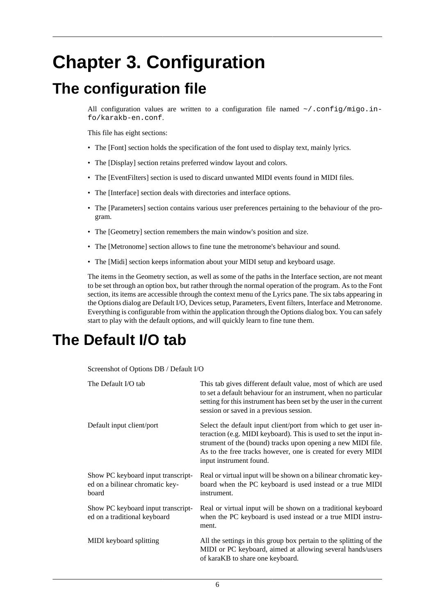## <span id="page-8-0"></span>**Chapter 3. Configuration**

#### <span id="page-8-1"></span>**The configuration file**

All configuration values are written to a configuration file named  $\sim$ /.config/migo.info/karakb-en.conf.

This file has eight sections:

- The [Font] section holds the specification of the font used to display text, mainly lyrics.
- The [Display] section retains preferred window layout and colors.
- The [EventFilters] section is used to discard unwanted MIDI events found in MIDI files.
- The [Interface] section deals with directories and interface options.
- The [Parameters] section contains various user preferences pertaining to the behaviour of the program.
- The [Geometry] section remembers the main window's position and size.
- The [Metronome] section allows to fine tune the metronome's behaviour and sound.
- The [Midi] section keeps information about your MIDI setup and keyboard usage.

The items in the Geometry section, as well as some of the paths in the Interface section, are not meant to be set through an option box, but rather through the normal operation of the program. As to the Font section, its items are accessible through the context menu of the Lyrics pane. The six tabs appearing in the Options dialog are Default I/O, Devices setup, Parameters, Event filters, Interface and Metronome. Everything is configurable from within the application through the Options dialog box. You can safely start to play with the default options, and will quickly learn to fine tune them.

#### <span id="page-8-2"></span>**The Default I/O tab**

Screenshot of Options DB / Default I/O

| The Default I/O tab                                                            | This tab gives different default value, most of which are used<br>to set a default behaviour for an instrument, when no particular<br>setting for this instrument has been set by the user in the current<br>session or saved in a previous session.                                            |
|--------------------------------------------------------------------------------|-------------------------------------------------------------------------------------------------------------------------------------------------------------------------------------------------------------------------------------------------------------------------------------------------|
| Default input client/port                                                      | Select the default input client/port from which to get user in-<br>teraction (e.g. MIDI keyboard). This is used to set the input in-<br>strument of the (bound) tracks upon opening a new MIDI file.<br>As to the free tracks however, one is created for every MIDI<br>input instrument found. |
| Show PC keyboard input transcript-<br>ed on a bilinear chromatic key-<br>board | Real or virtual input will be shown on a bilinear chromatic key-<br>board when the PC keyboard is used instead or a true MIDI<br>instrument.                                                                                                                                                    |
| Show PC keyboard input transcript-<br>ed on a traditional keyboard             | Real or virtual input will be shown on a traditional keyboard<br>when the PC keyboard is used instead or a true MIDI instru-<br>ment.                                                                                                                                                           |
| MIDI keyboard splitting                                                        | All the settings in this group box pertain to the splitting of the<br>MIDI or PC keyboard, aimed at allowing several hands/users<br>of karaKB to share one keyboard.                                                                                                                            |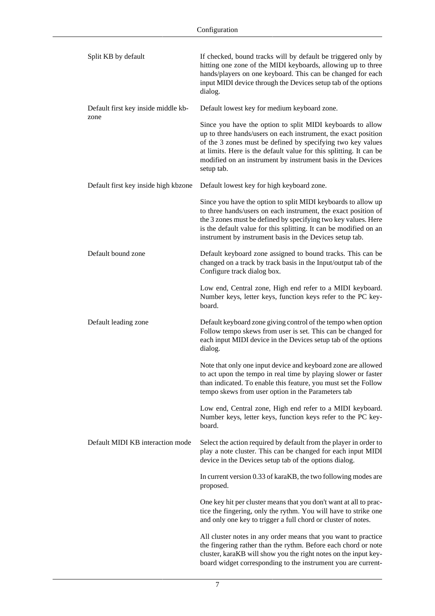| Split KB by default                         | If checked, bound tracks will by default be triggered only by<br>hitting one zone of the MIDI keyboards, allowing up to three<br>hands/players on one keyboard. This can be changed for each<br>input MIDI device through the Devices setup tab of the options<br>dialog.                                                                       |
|---------------------------------------------|-------------------------------------------------------------------------------------------------------------------------------------------------------------------------------------------------------------------------------------------------------------------------------------------------------------------------------------------------|
| Default first key inside middle kb-<br>zone | Default lowest key for medium keyboard zone.                                                                                                                                                                                                                                                                                                    |
|                                             | Since you have the option to split MIDI keyboards to allow<br>up to three hands/users on each instrument, the exact position<br>of the 3 zones must be defined by specifying two key values<br>at limits. Here is the default value for this splitting. It can be<br>modified on an instrument by instrument basis in the Devices<br>setup tab. |
| Default first key inside high kbzone        | Default lowest key for high keyboard zone.                                                                                                                                                                                                                                                                                                      |
|                                             | Since you have the option to split MIDI keyboards to allow up<br>to three hands/users on each instrument, the exact position of<br>the 3 zones must be defined by specifying two key values. Here<br>is the default value for this splitting. It can be modified on an<br>instrument by instrument basis in the Devices setup tab.              |
| Default bound zone                          | Default keyboard zone assigned to bound tracks. This can be<br>changed on a track by track basis in the Input/output tab of the<br>Configure track dialog box.                                                                                                                                                                                  |
|                                             | Low end, Central zone, High end refer to a MIDI keyboard.<br>Number keys, letter keys, function keys refer to the PC key-<br>board.                                                                                                                                                                                                             |
| Default leading zone                        | Default keyboard zone giving control of the tempo when option<br>Follow tempo skews from user is set. This can be changed for<br>each input MIDI device in the Devices setup tab of the options<br>dialog.                                                                                                                                      |
|                                             | Note that only one input device and keyboard zone are allowed<br>to act upon the tempo in real time by playing slower or faster<br>than indicated. To enable this feature, you must set the Follow<br>tempo skews from user option in the Parameters tab                                                                                        |
|                                             | Low end, Central zone, High end refer to a MIDI keyboard.<br>Number keys, letter keys, function keys refer to the PC key-<br>board.                                                                                                                                                                                                             |
| Default MIDI KB interaction mode            | Select the action required by default from the player in order to<br>play a note cluster. This can be changed for each input MIDI<br>device in the Devices setup tab of the options dialog.                                                                                                                                                     |
|                                             | In current version 0.33 of karaKB, the two following modes are<br>proposed.                                                                                                                                                                                                                                                                     |
|                                             | One key hit per cluster means that you don't want at all to prac-<br>tice the fingering, only the rythm. You will have to strike one<br>and only one key to trigger a full chord or cluster of notes.                                                                                                                                           |
|                                             | All cluster notes in any order means that you want to practice<br>the fingering rather than the rythm. Before each chord or note<br>cluster, karaKB will show you the right notes on the input key-<br>board widget corresponding to the instrument you are current-                                                                            |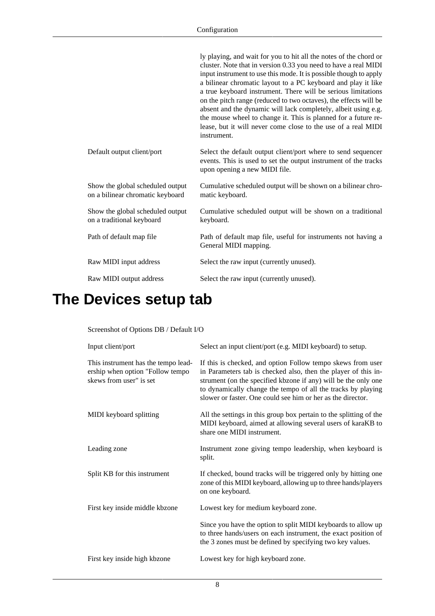|                                                                      | ly playing, and wait for you to hit all the notes of the chord or<br>cluster. Note that in version 0.33 you need to have a real MIDI<br>input instrument to use this mode. It is possible though to apply<br>a bilinear chromatic layout to a PC keyboard and play it like<br>a true keyboard instrument. There will be serious limitations<br>on the pitch range (reduced to two octaves), the effects will be<br>absent and the dynamic will lack completely, albeit using e.g.<br>the mouse wheel to change it. This is planned for a future re-<br>lease, but it will never come close to the use of a real MIDI<br>instrument. |
|----------------------------------------------------------------------|-------------------------------------------------------------------------------------------------------------------------------------------------------------------------------------------------------------------------------------------------------------------------------------------------------------------------------------------------------------------------------------------------------------------------------------------------------------------------------------------------------------------------------------------------------------------------------------------------------------------------------------|
| Default output client/port                                           | Select the default output client/port where to send sequencer<br>events. This is used to set the output instrument of the tracks<br>upon opening a new MIDI file.                                                                                                                                                                                                                                                                                                                                                                                                                                                                   |
| Show the global scheduled output<br>on a bilinear chromatic keyboard | Cumulative scheduled output will be shown on a bilinear chro-<br>matic keyboard.                                                                                                                                                                                                                                                                                                                                                                                                                                                                                                                                                    |
| Show the global scheduled output<br>on a traditional keyboard        | Cumulative scheduled output will be shown on a traditional<br>keyboard.                                                                                                                                                                                                                                                                                                                                                                                                                                                                                                                                                             |
| Path of default map file                                             | Path of default map file, useful for instruments not having a<br>General MIDI mapping.                                                                                                                                                                                                                                                                                                                                                                                                                                                                                                                                              |
| Raw MIDI input address                                               | Select the raw input (currently unused).                                                                                                                                                                                                                                                                                                                                                                                                                                                                                                                                                                                            |
| Raw MIDI output address                                              | Select the raw input (currently unused).                                                                                                                                                                                                                                                                                                                                                                                                                                                                                                                                                                                            |

## <span id="page-10-0"></span>**The Devices setup tab**

Screenshot of Options DB / Default I/O

| Input client/port                                                                                  | Select an input client/port (e.g. MIDI keyboard) to setup.                                                                                                                                                                                                                                                                     |
|----------------------------------------------------------------------------------------------------|--------------------------------------------------------------------------------------------------------------------------------------------------------------------------------------------------------------------------------------------------------------------------------------------------------------------------------|
| This instrument has the tempo lead-<br>ership when option "Follow tempo<br>skews from user" is set | If this is checked, and option Follow tempo skews from user<br>in Parameters tab is checked also, then the player of this in-<br>strument (on the specified kbzone if any) will be the only one<br>to dynamically change the tempo of all the tracks by playing<br>slower or faster. One could see him or her as the director. |
| MIDI keyboard splitting                                                                            | All the settings in this group box pertain to the splitting of the<br>MIDI keyboard, aimed at allowing several users of karaKB to<br>share one MIDI instrument.                                                                                                                                                                |
| Leading zone                                                                                       | Instrument zone giving tempo leadership, when keyboard is<br>split.                                                                                                                                                                                                                                                            |
| Split KB for this instrument                                                                       | If checked, bound tracks will be triggered only by hitting one<br>zone of this MIDI keyboard, allowing up to three hands/players<br>on one keyboard.                                                                                                                                                                           |
| First key inside middle kbzone                                                                     | Lowest key for medium keyboard zone.                                                                                                                                                                                                                                                                                           |
|                                                                                                    | Since you have the option to split MIDI keyboards to allow up<br>to three hands/users on each instrument, the exact position of<br>the 3 zones must be defined by specifying two key values.                                                                                                                                   |
| First key inside high kbzone                                                                       | Lowest key for high keyboard zone.                                                                                                                                                                                                                                                                                             |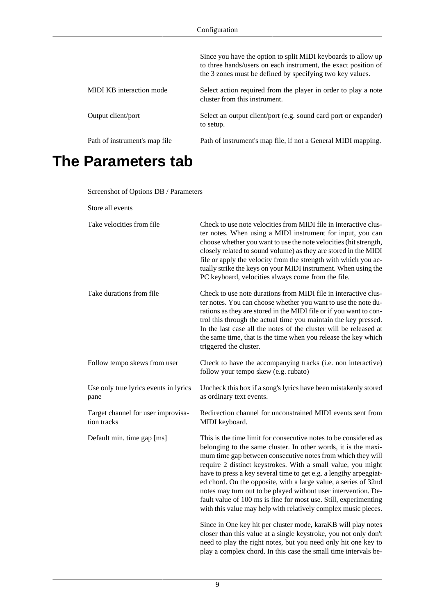|                               | Since you have the option to split MIDI keyboards to allow up<br>to three hands/users on each instrument, the exact position of<br>the 3 zones must be defined by specifying two key values. |
|-------------------------------|----------------------------------------------------------------------------------------------------------------------------------------------------------------------------------------------|
| MIDI KB interaction mode      | Select action required from the player in order to play a note<br>cluster from this instrument.                                                                                              |
| Output client/port            | Select an output client/port (e.g. sound card port or expander)<br>to setup.                                                                                                                 |
| Path of instrument's map file | Path of instrument's map file, if not a General MIDI mapping.                                                                                                                                |

### <span id="page-11-0"></span>**The Parameters tab**

Screenshot of Options DB / Parameters

Store all events

<span id="page-11-1"></span>

| Take velocities from file                         | Check to use note velocities from MIDI file in interactive clus-<br>ter notes. When using a MIDI instrument for input, you can<br>choose whether you want to use the note velocities (hit strength,<br>closely related to sound volume) as they are stored in the MIDI<br>file or apply the velocity from the strength with which you ac-<br>tually strike the keys on your MIDI instrument. When using the<br>PC keyboard, velocities always come from the file.                                                                                                                                                 |
|---------------------------------------------------|-------------------------------------------------------------------------------------------------------------------------------------------------------------------------------------------------------------------------------------------------------------------------------------------------------------------------------------------------------------------------------------------------------------------------------------------------------------------------------------------------------------------------------------------------------------------------------------------------------------------|
| Take durations from file                          | Check to use note durations from MIDI file in interactive clus-<br>ter notes. You can choose whether you want to use the note du-<br>rations as they are stored in the MIDI file or if you want to con-<br>trol this through the actual time you maintain the key pressed.<br>In the last case all the notes of the cluster will be released at<br>the same time, that is the time when you release the key which<br>triggered the cluster.                                                                                                                                                                       |
| Follow tempo skews from user                      | Check to have the accompanying tracks (i.e. non interactive)<br>follow your tempo skew (e.g. rubato)                                                                                                                                                                                                                                                                                                                                                                                                                                                                                                              |
| Use only true lyrics events in lyrics<br>pane     | Uncheck this box if a song's lyrics have been mistakenly stored<br>as ordinary text events.                                                                                                                                                                                                                                                                                                                                                                                                                                                                                                                       |
| Target channel for user improvisa-<br>tion tracks | Redirection channel for unconstrained MIDI events sent from<br>MIDI keyboard.                                                                                                                                                                                                                                                                                                                                                                                                                                                                                                                                     |
| Default min. time gap [ms]                        | This is the time limit for consecutive notes to be considered as<br>belonging to the same cluster. In other words, it is the maxi-<br>mum time gap between consecutive notes from which they will<br>require 2 distinct keystrokes. With a small value, you might<br>have to press a key several time to get e.g. a lengthy arpeggiat-<br>ed chord. On the opposite, with a large value, a series of 32nd<br>notes may turn out to be played without user intervention. De-<br>fault value of 100 ms is fine for most use. Still, experimenting<br>with this value may help with relatively complex music pieces. |
|                                                   | Since in One key hit per cluster mode, karaKB will play notes<br>closer than this value at a single keystroke, you not only don't<br>need to play the right notes, but you need only hit one key to<br>play a complex chord. In this case the small time intervals be-                                                                                                                                                                                                                                                                                                                                            |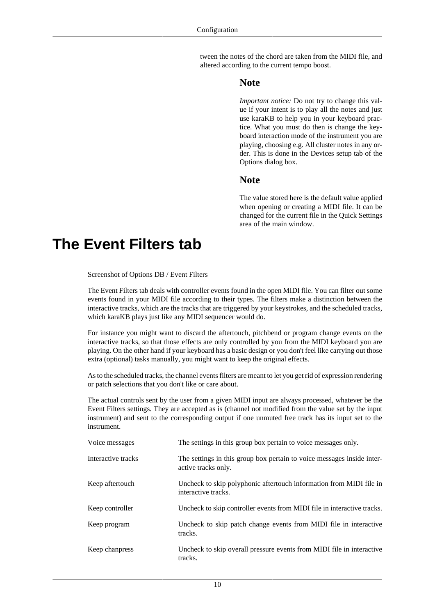tween the notes of the chord are taken from the MIDI file, and altered according to the current tempo boost.

#### **Note**

*Important notice:* Do not try to change this value if your intent is to play all the notes and just use karaKB to help you in your keyboard practice. What you must do then is change the keyboard interaction mode of the instrument you are playing, choosing e.g. All cluster notes in any order. This is done in the Devices setup tab of the Options dialog box.

#### **Note**

The value stored here is the default value applied when opening or creating a MIDI file. It can be changed for the current file in the Quick Settings area of the main window.

#### <span id="page-12-0"></span>**The Event Filters tab**

Screenshot of Options DB / Event Filters

The Event Filters tab deals with controller events found in the open MIDI file. You can filter out some events found in your MIDI file according to their types. The filters make a distinction between the interactive tracks, which are the tracks that are triggered by your keystrokes, and the scheduled tracks, which karaKB plays just like any MIDI sequencer would do.

For instance you might want to discard the aftertouch, pitchbend or program change events on the interactive tracks, so that those effects are only controlled by you from the MIDI keyboard you are playing. On the other hand if your keyboard has a basic design or you don't feel like carrying out those extra (optional) tasks manually, you might want to keep the original effects.

As to the scheduled tracks, the channel events filters are meant to let you get rid of expression rendering or patch selections that you don't like or care about.

The actual controls sent by the user from a given MIDI input are always processed, whatever be the Event Filters settings. They are accepted as is (channel not modified from the value set by the input instrument) and sent to the corresponding output if one unmuted free track has its input set to the instrument.

| Voice messages     | The settings in this group box pertain to voice messages only.                                |
|--------------------|-----------------------------------------------------------------------------------------------|
| Interactive tracks | The settings in this group box pertain to voice messages inside inter-<br>active tracks only. |
| Keep aftertouch    | Uncheck to skip polyphonic aftertouch information from MIDI file in<br>interactive tracks.    |
| Keep controller    | Uncheck to skip controller events from MIDI file in interactive tracks.                       |
| Keep program       | Uncheck to skip patch change events from MIDI file in interactive<br>tracks.                  |
| Keep chanpress     | Uncheck to skip overall pressure events from MIDI file in interactive<br>tracks.              |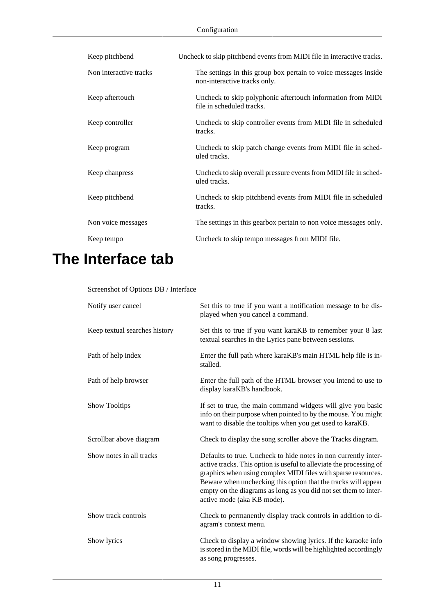| Keep pitchbend         | Uncheck to skip pitchbend events from MIDI file in interactive tracks.                          |
|------------------------|-------------------------------------------------------------------------------------------------|
| Non interactive tracks | The settings in this group box pertain to voice messages inside<br>non-interactive tracks only. |
| Keep aftertouch        | Uncheck to skip polyphonic aftertouch information from MIDI<br>file in scheduled tracks.        |
| Keep controller        | Uncheck to skip controller events from MIDI file in scheduled<br>tracks.                        |
| Keep program           | Uncheck to skip patch change events from MIDI file in sched-<br>uled tracks.                    |
| Keep chanpress         | Uncheck to skip overall pressure events from MIDI file in sched-<br>uled tracks.                |
| Keep pitchbend         | Uncheck to skip pitchbend events from MIDI file in scheduled<br>tracks.                         |
| Non voice messages     | The settings in this gearbox pertain to non voice messages only.                                |
| Keep tempo             | Uncheck to skip tempo messages from MIDI file.                                                  |

## <span id="page-13-0"></span>**The Interface tab**

Screenshot of Options DB / Interface

| Notify user cancel            | Set this to true if you want a notification message to be dis-<br>played when you cancel a command.                                                                                                                                                                                                                                                                        |
|-------------------------------|----------------------------------------------------------------------------------------------------------------------------------------------------------------------------------------------------------------------------------------------------------------------------------------------------------------------------------------------------------------------------|
| Keep textual searches history | Set this to true if you want karaKB to remember your 8 last<br>textual searches in the Lyrics pane between sessions.                                                                                                                                                                                                                                                       |
| Path of help index            | Enter the full path where karaKB's main HTML help file is in-<br>stalled.                                                                                                                                                                                                                                                                                                  |
| Path of help browser          | Enter the full path of the HTML browser you intend to use to<br>display karaKB's handbook.                                                                                                                                                                                                                                                                                 |
| <b>Show Tooltips</b>          | If set to true, the main command widgets will give you basic<br>info on their purpose when pointed to by the mouse. You might<br>want to disable the tooltips when you get used to karaKB.                                                                                                                                                                                 |
| Scrollbar above diagram       | Check to display the song scroller above the Tracks diagram.                                                                                                                                                                                                                                                                                                               |
| Show notes in all tracks      | Defaults to true. Uncheck to hide notes in non currently inter-<br>active tracks. This option is useful to alleviate the processing of<br>graphics when using complex MIDI files with sparse resources.<br>Beware when unchecking this option that the tracks will appear<br>empty on the diagrams as long as you did not set them to inter-<br>active mode (aka KB mode). |
| Show track controls           | Check to permanently display track controls in addition to di-<br>agram's context menu.                                                                                                                                                                                                                                                                                    |
| Show lyrics                   | Check to display a window showing lyrics. If the karaoke info<br>is stored in the MIDI file, words will be highlighted accordingly<br>as song progresses.                                                                                                                                                                                                                  |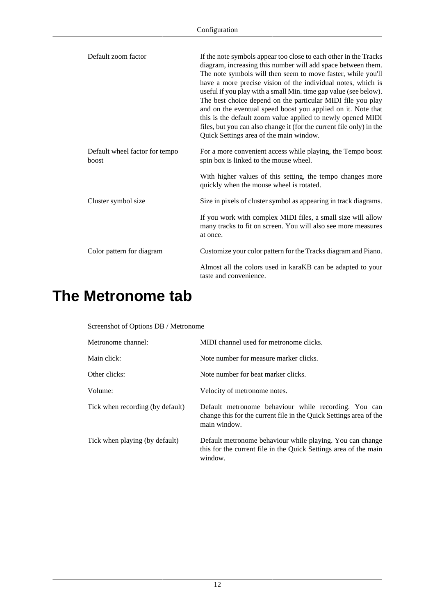<span id="page-14-1"></span>

| Default zoom factor                     | If the note symbols appear too close to each other in the Tracks<br>diagram, increasing this number will add space between them.<br>The note symbols will then seem to move faster, while you'll<br>have a more precise vision of the individual notes, which is<br>useful if you play with a small Min. time gap value (see below).<br>The best choice depend on the particular MIDI file you play<br>and on the eventual speed boost you applied on it. Note that<br>this is the default zoom value applied to newly opened MIDI<br>files, but you can also change it (for the current file only) in the<br>Quick Settings area of the main window. |
|-----------------------------------------|-------------------------------------------------------------------------------------------------------------------------------------------------------------------------------------------------------------------------------------------------------------------------------------------------------------------------------------------------------------------------------------------------------------------------------------------------------------------------------------------------------------------------------------------------------------------------------------------------------------------------------------------------------|
| Default wheel factor for tempo<br>boost | For a more convenient access while playing, the Tempo boost<br>spin box is linked to the mouse wheel.                                                                                                                                                                                                                                                                                                                                                                                                                                                                                                                                                 |
|                                         | With higher values of this setting, the tempo changes more<br>quickly when the mouse wheel is rotated.                                                                                                                                                                                                                                                                                                                                                                                                                                                                                                                                                |
| Cluster symbol size                     | Size in pixels of cluster symbol as appearing in track diagrams.                                                                                                                                                                                                                                                                                                                                                                                                                                                                                                                                                                                      |
|                                         | If you work with complex MIDI files, a small size will allow<br>many tracks to fit on screen. You will also see more measures<br>at once.                                                                                                                                                                                                                                                                                                                                                                                                                                                                                                             |
| Color pattern for diagram               | Customize your color pattern for the Tracks diagram and Piano.                                                                                                                                                                                                                                                                                                                                                                                                                                                                                                                                                                                        |
|                                         | Almost all the colors used in karaKB can be adapted to your<br>taste and convenience.                                                                                                                                                                                                                                                                                                                                                                                                                                                                                                                                                                 |

#### <span id="page-14-0"></span>**The Metronome tab**

Screenshot of Options DB / Metronome

| Metronome channel:               | MIDI channel used for metronome clicks.                                                                                                    |
|----------------------------------|--------------------------------------------------------------------------------------------------------------------------------------------|
| Main click:                      | Note number for measure marker clicks.                                                                                                     |
| Other clicks:                    | Note number for beat marker clicks.                                                                                                        |
| Volume:                          | Velocity of metronome notes.                                                                                                               |
| Tick when recording (by default) | Default metronome behaviour while recording. You can<br>change this for the current file in the Quick Settings area of the<br>main window. |
| Tick when playing (by default)   | Default metronome behaviour while playing. You can change<br>this for the current file in the Quick Settings area of the main<br>window.   |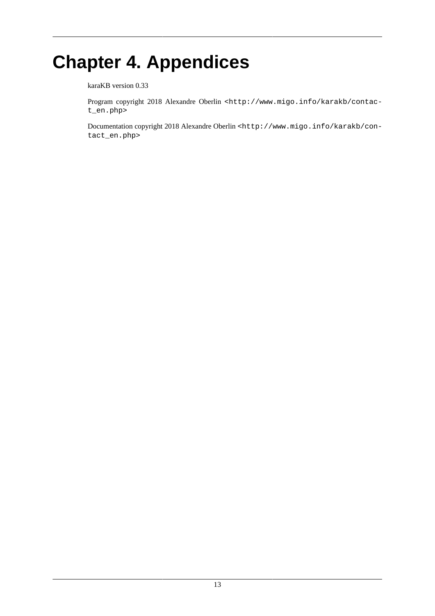# <span id="page-15-0"></span>**Chapter 4. Appendices**

karaKB version 0.33

Program copyright 2018 Alexandre Oberlin <http://www.migo.info/karakb/contact\_en.php>

Documentation copyright 2018 Alexandre Oberlin <http://www.migo.info/karakb/contact\_en.php>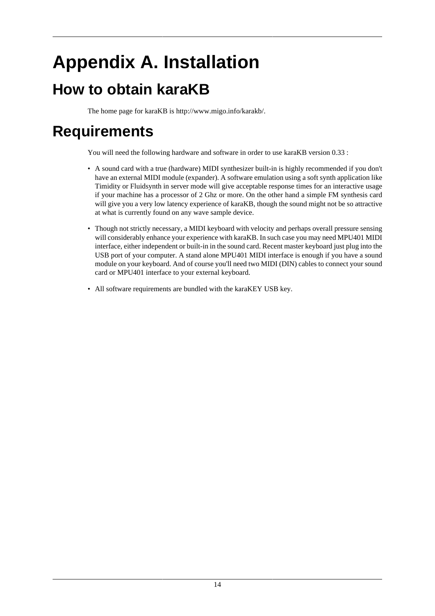# <span id="page-16-0"></span>**Appendix A. Installation**

## <span id="page-16-1"></span>**How to obtain karaKB**

The home page for karaKB is<http://www.migo.info/karakb/>.

## <span id="page-16-2"></span>**Requirements**

You will need the following hardware and software in order to use karaKB version 0.33 :

- A sound card with a true (hardware) MIDI synthesizer built-in is highly recommended if you don't have an external MIDI module (expander). A software emulation using a soft synth application like Timidity or Fluidsynth in server mode will give acceptable response times for an interactive usage if your machine has a processor of 2 Ghz or more. On the other hand a simple FM synthesis card will give you a very low latency experience of karaKB, though the sound might not be so attractive at what is currently found on any wave sample device.
- Though not strictly necessary, a MIDI keyboard with velocity and perhaps overall pressure sensing will considerably enhance your experience with karaKB. In such case you may need MPU401 MIDI interface, either independent or built-in in the sound card. Recent master keyboard just plug into the USB port of your computer. A stand alone MPU401 MIDI interface is enough if you have a sound module on your keyboard. And of course you'll need two MIDI (DIN) cables to connect your sound card or MPU401 interface to your external keyboard.
- All software requirements are bundled with the karaKEY USB key.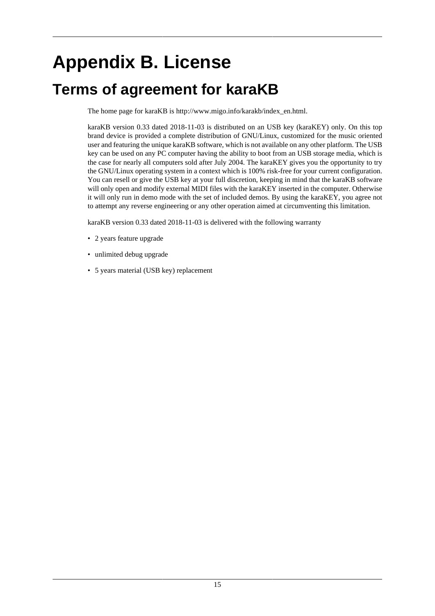# <span id="page-17-0"></span>**Appendix B. License**

### <span id="page-17-1"></span>**Terms of agreement for karaKB**

The home page for karaKB is [http://www.migo.info/karakb/index\\_en.html.](http://www.migo.info/karakb/index_en.html)

karaKB version 0.33 dated 2018-11-03 is distributed on an USB key (karaKEY) only. On this top brand device is provided a complete distribution of GNU/Linux, customized for the music oriented user and featuring the unique karaKB software, which is not available on any other platform. The USB key can be used on any PC computer having the ability to boot from an USB storage media, which is the case for nearly all computers sold after July 2004. The karaKEY gives you the opportunity to try the GNU/Linux operating system in a context which is 100% risk-free for your current configuration. You can resell or give the USB key at your full discretion, keeping in mind that the karaKB software will only open and modify external MIDI files with the karaKEY inserted in the computer. Otherwise it will only run in demo mode with the set of included demos. By using the karaKEY, you agree not to attempt any reverse engineering or any other operation aimed at circumventing this limitation.

karaKB version 0.33 dated 2018-11-03 is delivered with the following warranty

- 2 years feature upgrade
- unlimited debug upgrade
- 5 years material (USB key) replacement